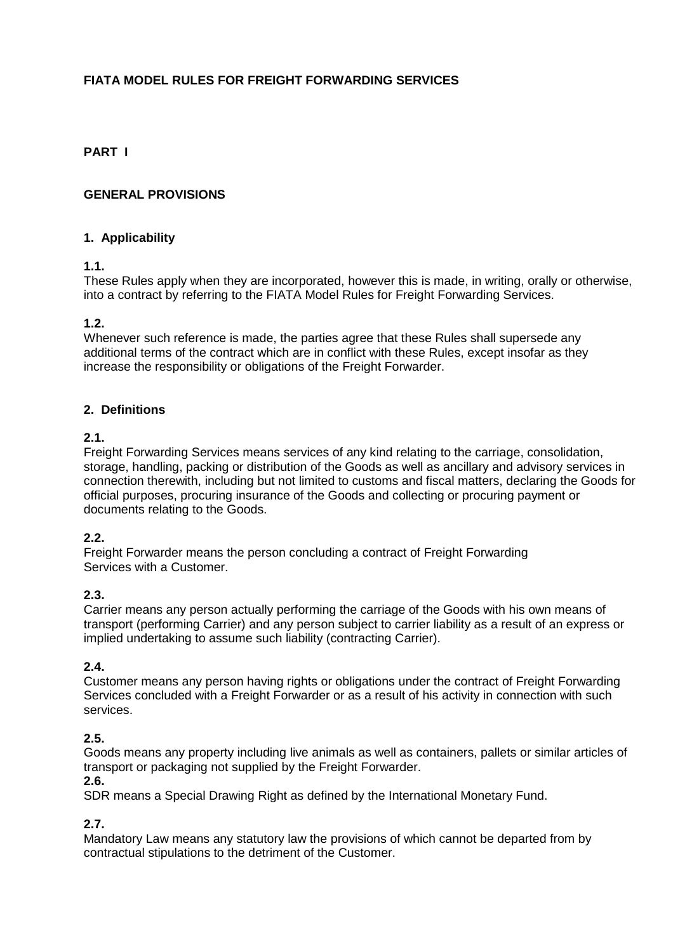# **FIATA MODEL RULES FOR FREIGHT FORWARDING SERVICES**

## **PART I**

### **GENERAL PROVISIONS**

### **1. Applicability**

### **1.1.**

These Rules apply when they are incorporated, however this is made, in writing, orally or otherwise, into a contract by referring to the FIATA Model Rules for Freight Forwarding Services.

### **1.2.**

Whenever such reference is made, the parties agree that these Rules shall supersede any additional terms of the contract which are in conflict with these Rules, except insofar as they increase the responsibility or obligations of the Freight Forwarder.

### **2. Definitions**

### **2.1.**

Freight Forwarding Services means services of any kind relating to the carriage, consolidation, storage, handling, packing or distribution of the Goods as well as ancillary and advisory services in connection therewith, including but not limited to customs and fiscal matters, declaring the Goods for official purposes, procuring insurance of the Goods and collecting or procuring payment or documents relating to the Goods.

### **2.2.**

Freight Forwarder means the person concluding a contract of Freight Forwarding Services with a Customer.

### **2.3.**

Carrier means any person actually performing the carriage of the Goods with his own means of transport (performing Carrier) and any person subject to carrier liability as a result of an express or implied undertaking to assume such liability (contracting Carrier).

### **2.4.**

Customer means any person having rights or obligations under the contract of Freight Forwarding Services concluded with a Freight Forwarder or as a result of his activity in connection with such services.

### **2.5.**

Goods means any property including live animals as well as containers, pallets or similar articles of transport or packaging not supplied by the Freight Forwarder.

### **2.6.**

SDR means a Special Drawing Right as defined by the International Monetary Fund.

### **2.7.**

Mandatory Law means any statutory law the provisions of which cannot be departed from by contractual stipulations to the detriment of the Customer.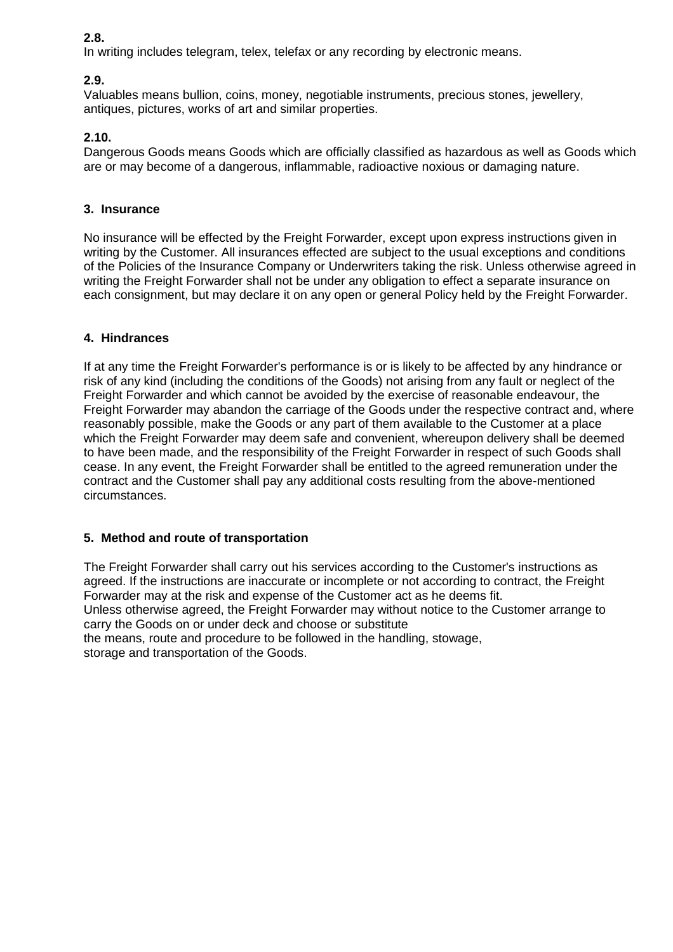## **2.8.**

In writing includes telegram, telex, telefax or any recording by electronic means.

## **2.9.**

Valuables means bullion, coins, money, negotiable instruments, precious stones, jewellery, antiques, pictures, works of art and similar properties.

## **2.10.**

Dangerous Goods means Goods which are officially classified as hazardous as well as Goods which are or may become of a dangerous, inflammable, radioactive noxious or damaging nature.

### **3. Insurance**

No insurance will be effected by the Freight Forwarder, except upon express instructions given in writing by the Customer. All insurances effected are subject to the usual exceptions and conditions of the Policies of the Insurance Company or Underwriters taking the risk. Unless otherwise agreed in writing the Freight Forwarder shall not be under any obligation to effect a separate insurance on each consignment, but may declare it on any open or general Policy held by the Freight Forwarder.

### **4. Hindrances**

If at any time the Freight Forwarder's performance is or is likely to be affected by any hindrance or risk of any kind (including the conditions of the Goods) not arising from any fault or neglect of the Freight Forwarder and which cannot be avoided by the exercise of reasonable endeavour, the Freight Forwarder may abandon the carriage of the Goods under the respective contract and, where reasonably possible, make the Goods or any part of them available to the Customer at a place which the Freight Forwarder may deem safe and convenient, whereupon delivery shall be deemed to have been made, and the responsibility of the Freight Forwarder in respect of such Goods shall cease. In any event, the Freight Forwarder shall be entitled to the agreed remuneration under the contract and the Customer shall pay any additional costs resulting from the above-mentioned circumstances.

### **5. Method and route of transportation**

The Freight Forwarder shall carry out his services according to the Customer's instructions as agreed. If the instructions are inaccurate or incomplete or not according to contract, the Freight Forwarder may at the risk and expense of the Customer act as he deems fit. Unless otherwise agreed, the Freight Forwarder may without notice to the Customer arrange to carry the Goods on or under deck and choose or substitute the means, route and procedure to be followed in the handling, stowage, storage and transportation of the Goods.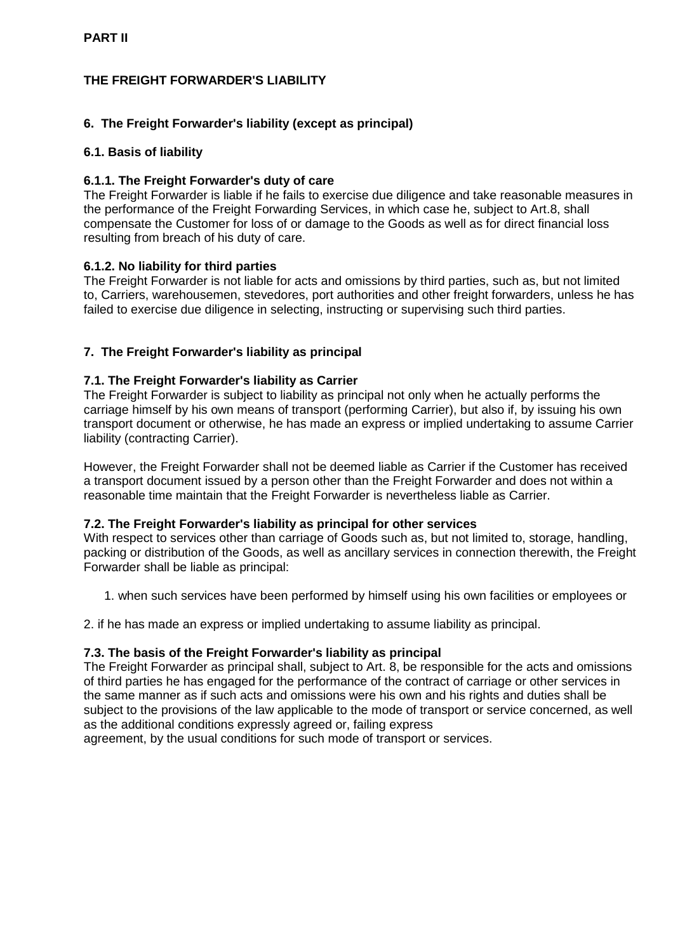# **THE FREIGHT FORWARDER'S LIABILITY**

## **6. The Freight Forwarder's liability (except as principal)**

### **6.1. Basis of liability**

### **6.1.1. The Freight Forwarder's duty of care**

The Freight Forwarder is liable if he fails to exercise due diligence and take reasonable measures in the performance of the Freight Forwarding Services, in which case he, subject to Art.8, shall compensate the Customer for loss of or damage to the Goods as well as for direct financial loss resulting from breach of his duty of care.

### **6.1.2. No liability for third parties**

The Freight Forwarder is not liable for acts and omissions by third parties, such as, but not limited to, Carriers, warehousemen, stevedores, port authorities and other freight forwarders, unless he has failed to exercise due diligence in selecting, instructing or supervising such third parties.

## **7. The Freight Forwarder's liability as principal**

### **7.1. The Freight Forwarder's liability as Carrier**

The Freight Forwarder is subject to liability as principal not only when he actually performs the carriage himself by his own means of transport (performing Carrier), but also if, by issuing his own transport document or otherwise, he has made an express or implied undertaking to assume Carrier liability (contracting Carrier).

However, the Freight Forwarder shall not be deemed liable as Carrier if the Customer has received a transport document issued by a person other than the Freight Forwarder and does not within a reasonable time maintain that the Freight Forwarder is nevertheless liable as Carrier.

### **7.2. The Freight Forwarder's liability as principal for other services**

With respect to services other than carriage of Goods such as, but not limited to, storage, handling, packing or distribution of the Goods, as well as ancillary services in connection therewith, the Freight Forwarder shall be liable as principal:

1. when such services have been performed by himself using his own facilities or employees or

2. if he has made an express or implied undertaking to assume liability as principal.

### **7.3. The basis of the Freight Forwarder's liability as principal**

The Freight Forwarder as principal shall, subject to Art. 8, be responsible for the acts and omissions of third parties he has engaged for the performance of the contract of carriage or other services in the same manner as if such acts and omissions were his own and his rights and duties shall be subject to the provisions of the law applicable to the mode of transport or service concerned, as well as the additional conditions expressly agreed or, failing express

agreement, by the usual conditions for such mode of transport or services.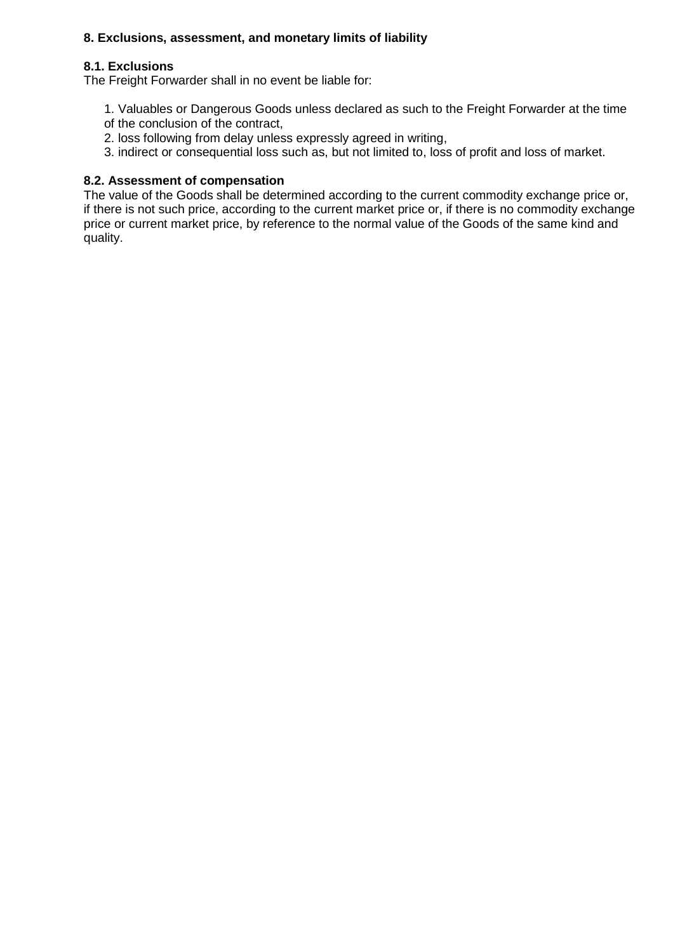## **8. Exclusions, assessment, and monetary limits of liability**

### **8.1. Exclusions**

The Freight Forwarder shall in no event be liable for:

- 1. Valuables or Dangerous Goods unless declared as such to the Freight Forwarder at the time
- of the conclusion of the contract,
- 2. loss following from delay unless expressly agreed in writing,
- 3. indirect or consequential loss such as, but not limited to, loss of profit and loss of market.

### **8.2. Assessment of compensation**

The value of the Goods shall be determined according to the current commodity exchange price or, if there is not such price, according to the current market price or, if there is no commodity exchange price or current market price, by reference to the normal value of the Goods of the same kind and quality.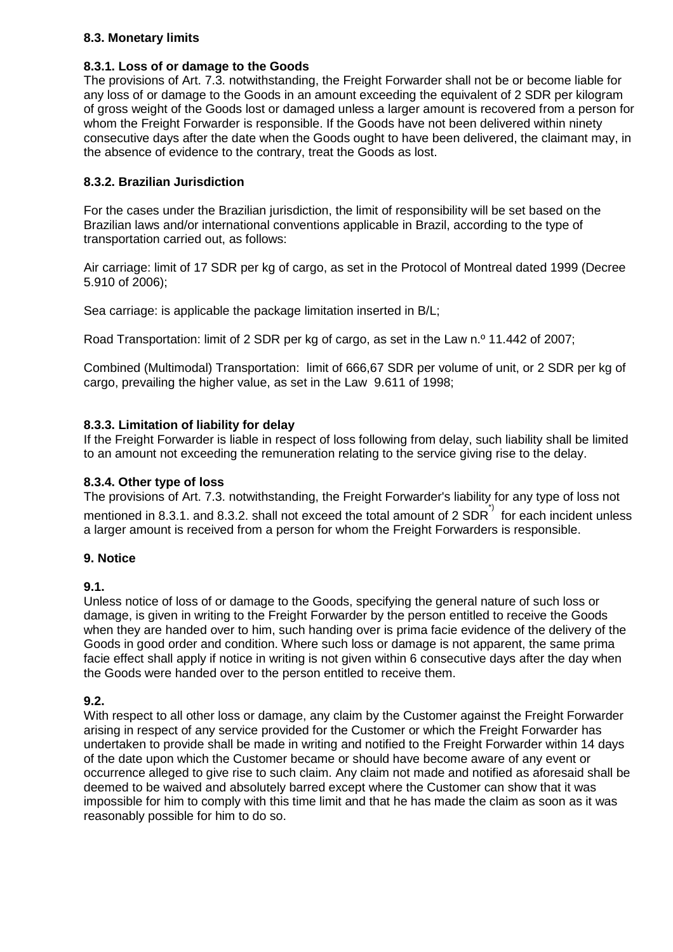## **8.3. Monetary limits**

### **8.3.1. Loss of or damage to the Goods**

The provisions of Art. 7.3. notwithstanding, the Freight Forwarder shall not be or become liable for any loss of or damage to the Goods in an amount exceeding the equivalent of 2 SDR per kilogram of gross weight of the Goods lost or damaged unless a larger amount is recovered from a person for whom the Freight Forwarder is responsible. If the Goods have not been delivered within ninety consecutive days after the date when the Goods ought to have been delivered, the claimant may, in the absence of evidence to the contrary, treat the Goods as lost.

## **8.3.2. Brazilian Jurisdiction**

For the cases under the Brazilian jurisdiction, the limit of responsibility will be set based on the Brazilian laws and/or international conventions applicable in Brazil, according to the type of transportation carried out, as follows:

Air carriage: limit of 17 SDR per kg of cargo, as set in the Protocol of Montreal dated 1999 (Decree 5.910 of 2006);

Sea carriage: is applicable the package limitation inserted in B/L;

Road Transportation: limit of 2 SDR per kg of cargo, as set in the Law n.º 11.442 of 2007;

Combined (Multimodal) Transportation: limit of 666,67 SDR per volume of unit, or 2 SDR per kg of cargo, prevailing the higher value, as set in the Law 9.611 of 1998;

### **8.3.3. Limitation of liability for delay**

If the Freight Forwarder is liable in respect of loss following from delay, such liability shall be limited to an amount not exceeding the remuneration relating to the service giving rise to the delay.

### **8.3.4. Other type of loss**

The provisions of Art. 7.3. notwithstanding, the Freight Forwarder's liability for any type of loss not mentioned in 8.3.1. and 8.3.2. shall not exceed the total amount of 2 SDR $\hat{i}$  for each incident unless a larger amount is received from a person for whom the Freight Forwarders is responsible.

### **9. Notice**

### **9.1.**

Unless notice of loss of or damage to the Goods, specifying the general nature of such loss or damage, is given in writing to the Freight Forwarder by the person entitled to receive the Goods when they are handed over to him, such handing over is prima facie evidence of the delivery of the Goods in good order and condition. Where such loss or damage is not apparent, the same prima facie effect shall apply if notice in writing is not given within 6 consecutive days after the day when the Goods were handed over to the person entitled to receive them.

## **9.2.**

With respect to all other loss or damage, any claim by the Customer against the Freight Forwarder arising in respect of any service provided for the Customer or which the Freight Forwarder has undertaken to provide shall be made in writing and notified to the Freight Forwarder within 14 days of the date upon which the Customer became or should have become aware of any event or occurrence alleged to give rise to such claim. Any claim not made and notified as aforesaid shall be deemed to be waived and absolutely barred except where the Customer can show that it was impossible for him to comply with this time limit and that he has made the claim as soon as it was reasonably possible for him to do so.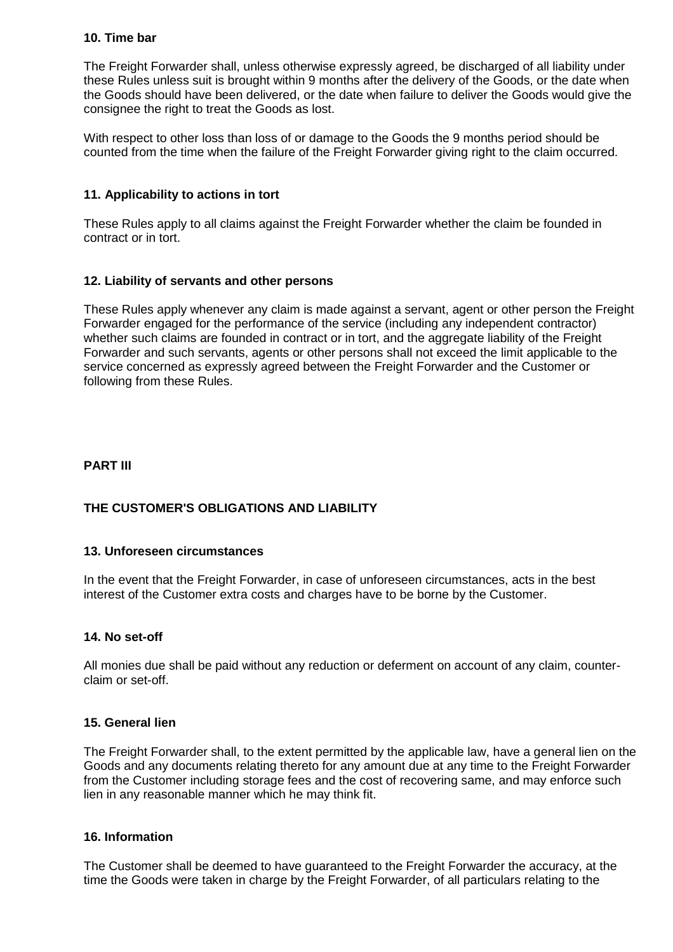#### **10. Time bar**

The Freight Forwarder shall, unless otherwise expressly agreed, be discharged of all liability under these Rules unless suit is brought within 9 months after the delivery of the Goods, or the date when the Goods should have been delivered, or the date when failure to deliver the Goods would give the consignee the right to treat the Goods as lost.

With respect to other loss than loss of or damage to the Goods the 9 months period should be counted from the time when the failure of the Freight Forwarder giving right to the claim occurred.

### **11. Applicability to actions in tort**

These Rules apply to all claims against the Freight Forwarder whether the claim be founded in contract or in tort.

### **12. Liability of servants and other persons**

These Rules apply whenever any claim is made against a servant, agent or other person the Freight Forwarder engaged for the performance of the service (including any independent contractor) whether such claims are founded in contract or in tort, and the aggregate liability of the Freight Forwarder and such servants, agents or other persons shall not exceed the limit applicable to the service concerned as expressly agreed between the Freight Forwarder and the Customer or following from these Rules.

### **PART III**

## **THE CUSTOMER'S OBLIGATIONS AND LIABILITY**

### **13. Unforeseen circumstances**

In the event that the Freight Forwarder, in case of unforeseen circumstances, acts in the best interest of the Customer extra costs and charges have to be borne by the Customer.

### **14. No set-off**

All monies due shall be paid without any reduction or deferment on account of any claim, counterclaim or set-off.

#### **15. General lien**

The Freight Forwarder shall, to the extent permitted by the applicable law, have a general lien on the Goods and any documents relating thereto for any amount due at any time to the Freight Forwarder from the Customer including storage fees and the cost of recovering same, and may enforce such lien in any reasonable manner which he may think fit.

#### **16. Information**

The Customer shall be deemed to have guaranteed to the Freight Forwarder the accuracy, at the time the Goods were taken in charge by the Freight Forwarder, of all particulars relating to the